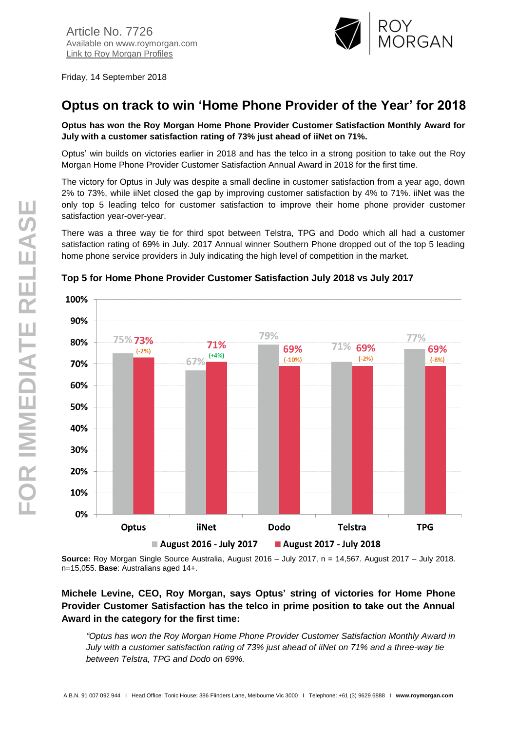

Friday, 14 September 2018

# **Optus on track to win 'Home Phone Provider of the Year' for 2018**

**Optus has won the Roy Morgan Home Phone Provider Customer Satisfaction Monthly Award for July with a customer satisfaction rating of 73% just ahead of iiNet on 71%.**

Optus' win builds on victories earlier in 2018 and has the telco in a strong position to take out the Roy Morgan Home Phone Provider Customer Satisfaction Annual Award in 2018 for the first time.

The victory for Optus in July was despite a small decline in customer satisfaction from a year ago, down 2% to 73%, while iiNet closed the gap by improving customer satisfaction by 4% to 71%. iiNet was the only top 5 leading telco for customer satisfaction to improve their home phone provider customer satisfaction year-over-year.

There was a three way tie for third spot between Telstra, TPG and Dodo which all had a customer satisfaction rating of 69% in July. 2017 Annual winner Southern Phone dropped out of the top 5 leading home phone service providers in July indicating the high level of competition in the market.



#### **Top 5 for Home Phone Provider Customer Satisfaction July 2018 vs July 2017**

**Source:** Roy Morgan Single Source Australia, August 2016 – July 2017, n = 14,567. August 2017 – July 2018. n=15,055. **Base**: Australians aged 14+.

## **Michele Levine, CEO, Roy Morgan, says Optus' string of victories for Home Phone Provider Customer Satisfaction has the telco in prime position to take out the Annual Award in the category for the first time:**

*"Optus has won the Roy Morgan Home Phone Provider Customer Satisfaction Monthly Award in July with a customer satisfaction rating of 73% just ahead of iiNet on 71% and a three-way tie between Telstra, TPG and Dodo on 69%.*